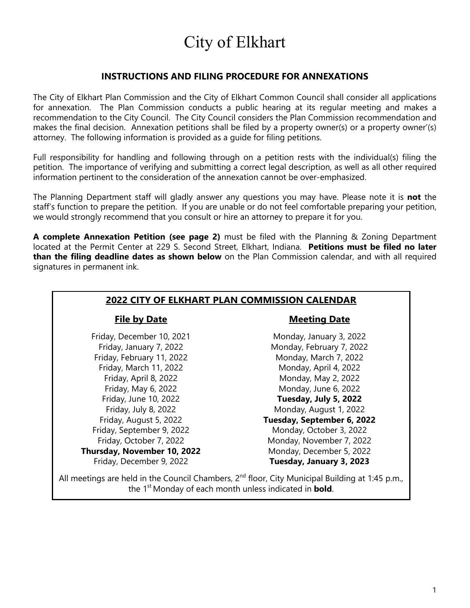# City of Elkhart

#### **INSTRUCTIONS AND FILING PROCEDURE FOR ANNEXATIONS**

The City of Elkhart Plan Commission and the City of Elkhart Common Council shall consider all applications for annexation. The Plan Commission conducts a public hearing at its regular meeting and makes a recommendation to the City Council. The City Council considers the Plan Commission recommendation and makes the final decision. Annexation petitions shall be filed by a property owner(s) or a property owner'(s) attorney. The following information is provided as a guide for filing petitions.

Full responsibility for handling and following through on a petition rests with the individual(s) filing the petition. The importance of verifying and submitting a correct legal description, as well as all other required information pertinent to the consideration of the annexation cannot be over-emphasized.

The Planning Department staff will gladly answer any questions you may have. Please note it is **not** the staff's function to prepare the petition. If you are unable or do not feel comfortable preparing your petition, we would strongly recommend that you consult or hire an attorney to prepare it for you.

**A complete Annexation Petition (see page 2)** must be filed with the Planning & Zoning Department located at the Permit Center at 229 S. Second Street, Elkhart, Indiana. **Petitions must be filed no later than the filing deadline dates as shown below** on the Plan Commission calendar, and with all required signatures in permanent ink.

| <b>2022 CITY OF ELKHART PLAN COMMISSION CALENDAR</b>                                                        |                            |  |  |
|-------------------------------------------------------------------------------------------------------------|----------------------------|--|--|
| <b>File by Date</b>                                                                                         | <b>Meeting Date</b>        |  |  |
| Friday, December 10, 2021                                                                                   | Monday, January 3, 2022    |  |  |
| Friday, January 7, 2022                                                                                     | Monday, February 7, 2022   |  |  |
| Friday, February 11, 2022                                                                                   | Monday, March 7, 2022      |  |  |
| Friday, March 11, 2022                                                                                      | Monday, April 4, 2022      |  |  |
| Friday, April 8, 2022                                                                                       | Monday, May 2, 2022        |  |  |
| Friday, May 6, 2022                                                                                         | Monday, June 6, 2022       |  |  |
| Friday, June 10, 2022                                                                                       | Tuesday, July 5, 2022      |  |  |
| Friday, July 8, 2022                                                                                        | Monday, August 1, 2022     |  |  |
| Friday, August 5, 2022                                                                                      | Tuesday, September 6, 2022 |  |  |
| Friday, September 9, 2022                                                                                   | Monday, October 3, 2022    |  |  |
| Friday, October 7, 2022                                                                                     | Monday, November 7, 2022   |  |  |
| Thursday, November 10, 2022                                                                                 | Monday, December 5, 2022   |  |  |
| Friday, December 9, 2022                                                                                    | Tuesday, January 3, 2023   |  |  |
| All meetings are held in the Council Chambers, 2 <sup>nd</sup> floor, City Municipal Building at 1:45 p.m., |                            |  |  |

the 1st Monday of each month unless indicated in **bold**.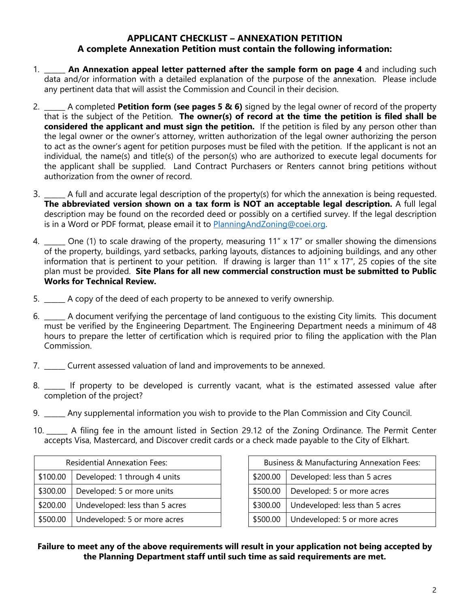#### **APPLICANT CHECKLIST – ANNEXATION PETITION A complete Annexation Petition must contain the following information:**

- 1. \_\_\_\_\_\_ **An Annexation appeal letter patterned after the sample form on page 4** and including such data and/or information with a detailed explanation of the purpose of the annexation. Please include any pertinent data that will assist the Commission and Council in their decision.
- 2. \_\_\_\_\_\_ A completed **Petition form (see pages 5 & 6)** signed by the legal owner of record of the property that is the subject of the Petition. **The owner(s) of record at the time the petition is filed shall be considered the applicant and must sign the petition.** If the petition is filed by any person other than the legal owner or the owner's attorney, written authorization of the legal owner authorizing the person to act as the owner's agent for petition purposes must be filed with the petition. If the applicant is not an individual, the name(s) and title(s) of the person(s) who are authorized to execute legal documents for the applicant shall be supplied. Land Contract Purchasers or Renters cannot bring petitions without authorization from the owner of record.
- 3. \_\_\_\_\_\_ A full and accurate legal description of the property(s) for which the annexation is being requested. **The abbreviated version shown on a tax form is NOT an acceptable legal description.** A full legal description may be found on the recorded deed or possibly on a certified survey. If the legal description is in a Word or PDF format, please email it to [PlanningAndZoning@coei.org.](mailto:PlanningAndZoning@coei.org)
- 4. Che (1) to scale drawing of the property, measuring 11" x 17" or smaller showing the dimensions of the property, buildings, yard setbacks, parking layouts, distances to adjoining buildings, and any other information that is pertinent to your petition. If drawing is larger than 11" x 17", 25 copies of the site plan must be provided. **Site Plans for all new commercial construction must be submitted to Public Works for Technical Review.**
- 5. \_\_\_\_\_\_ A copy of the deed of each property to be annexed to verify ownership.
- 6. \_\_\_\_\_\_ A document verifying the percentage of land contiguous to the existing City limits. This document must be verified by the Engineering Department. The Engineering Department needs a minimum of 48 hours to prepare the letter of certification which is required prior to filing the application with the Plan Commission.
- 7. \_\_\_\_\_\_ Current assessed valuation of land and improvements to be annexed.
- 8. \_\_\_\_\_\_ If property to be developed is currently vacant, what is the estimated assessed value after completion of the project?
- 9. \_\_\_\_\_\_ Any supplemental information you wish to provide to the Plan Commission and City Council.
- 10. \_\_\_\_\_\_ A filing fee in the amount listed in Section 29.12 of the Zoning Ordinance. The Permit Center accepts Visa, Mastercard, and Discover credit cards or a check made payable to the City of Elkhart.

| <b>Residential Annexation Fees:</b> |                                |  |  |
|-------------------------------------|--------------------------------|--|--|
| \$100.00                            | Developed: 1 through 4 units   |  |  |
| \$300.00                            | Developed: 5 or more units     |  |  |
| \$200.00                            | Undeveloped: less than 5 acres |  |  |
| \$500.00                            | Undeveloped: 5 or more acres   |  |  |

Business & Manufacturing Annexation Fees:  $$200.00$  Developed: less than 5 acres  $$500.00$  Developed: 5 or more acres \$300.00 | Undeveloped: less than 5 acres  $$500.00$  Undeveloped: 5 or more acres

#### **Failure to meet any of the above requirements will result in your application not being accepted by the Planning Department staff until such time as said requirements are met.**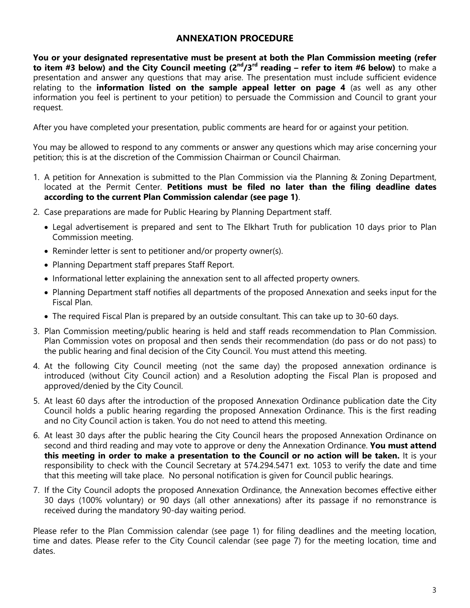#### **ANNEXATION PROCEDURE**

**You or your designated representative must be present at both the Plan Commission meeting (refer to item #3 below) and the City Council meeting (2nd/3rd reading – refer to item #6 below)** to make a presentation and answer any questions that may arise. The presentation must include sufficient evidence relating to the **information listed on the sample appeal letter on page 4** (as well as any other information you feel is pertinent to your petition) to persuade the Commission and Council to grant your request.

After you have completed your presentation, public comments are heard for or against your petition.

You may be allowed to respond to any comments or answer any questions which may arise concerning your petition; this is at the discretion of the Commission Chairman or Council Chairman.

- 1. A petition for Annexation is submitted to the Plan Commission via the Planning & Zoning Department, located at the Permit Center. **Petitions must be filed no later than the filing deadline dates according to the current Plan Commission calendar (see page 1)**.
- 2. Case preparations are made for Public Hearing by Planning Department staff.
	- Legal advertisement is prepared and sent to The Elkhart Truth for publication 10 days prior to Plan Commission meeting.
	- Reminder letter is sent to petitioner and/or property owner(s).
	- Planning Department staff prepares Staff Report.
	- Informational letter explaining the annexation sent to all affected property owners.
	- Planning Department staff notifies all departments of the proposed Annexation and seeks input for the Fiscal Plan.
	- The required Fiscal Plan is prepared by an outside consultant. This can take up to 30-60 days.
- 3. Plan Commission meeting/public hearing is held and staff reads recommendation to Plan Commission. Plan Commission votes on proposal and then sends their recommendation (do pass or do not pass) to the public hearing and final decision of the City Council. You must attend this meeting.
- 4. At the following City Council meeting (not the same day) the proposed annexation ordinance is introduced (without City Council action) and a Resolution adopting the Fiscal Plan is proposed and approved/denied by the City Council.
- 5. At least 60 days after the introduction of the proposed Annexation Ordinance publication date the City Council holds a public hearing regarding the proposed Annexation Ordinance. This is the first reading and no City Council action is taken. You do not need to attend this meeting.
- 6. At least 30 days after the public hearing the City Council hears the proposed Annexation Ordinance on second and third reading and may vote to approve or deny the Annexation Ordinance. **You must attend this meeting in order to make a presentation to the Council or no action will be taken.** It is your responsibility to check with the Council Secretary at 574.294.5471 ext. 1053 to verify the date and time that this meeting will take place. No personal notification is given for Council public hearings.
- 7. If the City Council adopts the proposed Annexation Ordinance, the Annexation becomes effective either 30 days (100% voluntary) or 90 days (all other annexations) after its passage if no remonstrance is received during the mandatory 90-day waiting period.

Please refer to the Plan Commission calendar (see page 1) for filing deadlines and the meeting location, time and dates. Please refer to the City Council calendar (see page 7) for the meeting location, time and dates.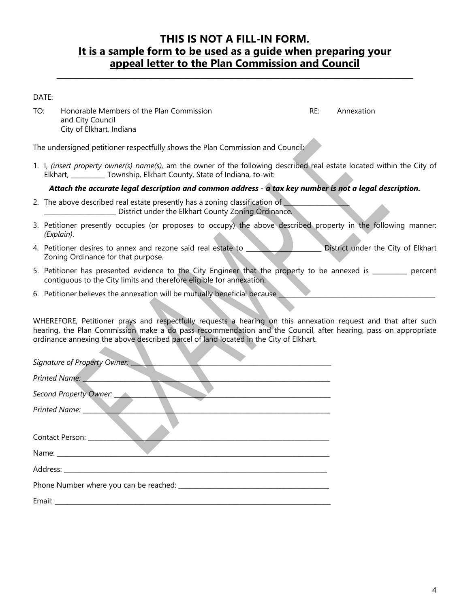### **THIS IS NOT A FILL-IN FORM. It is a sample form to be used as a guide when preparing your appeal letter to the Plan Commission and Council**

**\_\_\_\_\_\_\_\_\_\_\_\_\_\_\_\_\_\_\_\_\_\_\_\_\_\_\_\_\_\_\_\_\_\_\_\_\_\_\_\_\_\_\_\_\_\_\_\_\_\_\_\_\_\_\_\_\_\_\_\_\_\_\_\_\_\_\_\_\_\_\_\_\_**

DATE:

TO: Honorable Members of the Plan Commission TO: RE: Annexation and City Council City of Elkhart, Indiana

The undersigned petitioner respectfully shows the Plan Commission and Council:

1. I, *(insert property owner(s) name(s),* am the owner of the following described real estate located within the City of Elkhart, Township, Elkhart County, State of Indiana, to-wit:

*Attach the accurate legal description and common address - a tax key number is not a legal description.* 

- 2. The above described real estate presently has a zoning classification of \_\_\_\_\_\_\_\_\_\_\_\_\_\_\_\_\_\_\_\_\_\_\_ District under the Elkhart County Zoning Ordinance.
- 3. Petitioner presently occupies (or proposes to occupy) the above described property in the following manner: *(Explain)*.
- 4. Petitioner desires to annex and rezone said real estate to **Witch Constanting Construction** District under the City of Elkhart Zoning Ordinance for that purpose.
- 5. Petitioner has presented evidence to the City Engineer that the property to be annexed is entity percent contiguous to the City limits and therefore eligible for annexation.
- 6. Petitioner believes the annexation will be mutually beneficial because

WHEREFORE, Petitioner prays and respectfully requests a hearing on this annexation request and that after such hearing, the Plan Commission make a do pass recommendation and the Council, after hearing, pass on appropriate ordinance annexing the above described parcel of land located in the City of Elkhart.

| Signature of Property Owner:                                                                                                                                                                                                  |
|-------------------------------------------------------------------------------------------------------------------------------------------------------------------------------------------------------------------------------|
| Printed Name: Value                                                                                                                                                                                                           |
| Second Property Owner:                                                                                                                                                                                                        |
| <b>Printed Name:</b>                                                                                                                                                                                                          |
| Contact Person:                                                                                                                                                                                                               |
| Name: and the state of the state of the state of the state of the state of the state of the state of the state of the state of the state of the state of the state of the state of the state of the state of the state of the |
|                                                                                                                                                                                                                               |
|                                                                                                                                                                                                                               |
|                                                                                                                                                                                                                               |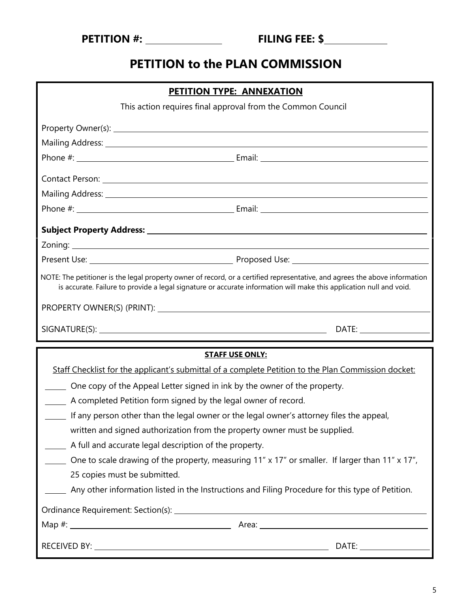# **PETITION to the PLAN COMMISSION**

| <b>PETITION TYPE: ANNEXATION</b>                                                                                                                                                                                                                   |                                                                                                                                                                                                                                      |  |
|----------------------------------------------------------------------------------------------------------------------------------------------------------------------------------------------------------------------------------------------------|--------------------------------------------------------------------------------------------------------------------------------------------------------------------------------------------------------------------------------------|--|
| This action requires final approval from the Common Council                                                                                                                                                                                        |                                                                                                                                                                                                                                      |  |
|                                                                                                                                                                                                                                                    |                                                                                                                                                                                                                                      |  |
|                                                                                                                                                                                                                                                    |                                                                                                                                                                                                                                      |  |
|                                                                                                                                                                                                                                                    |                                                                                                                                                                                                                                      |  |
|                                                                                                                                                                                                                                                    | Contact Person: New York Contact Person: New York Contact Person: New York Contact Person: New York Contact Person:                                                                                                                  |  |
|                                                                                                                                                                                                                                                    | Mailing Address: 1988 Contract to the Contract of the Contract of the Contract of the Contract of the Contract of the Contract of the Contract of the Contract of the Contract of the Contract of the Contract of the Contract       |  |
|                                                                                                                                                                                                                                                    |                                                                                                                                                                                                                                      |  |
|                                                                                                                                                                                                                                                    |                                                                                                                                                                                                                                      |  |
|                                                                                                                                                                                                                                                    |                                                                                                                                                                                                                                      |  |
|                                                                                                                                                                                                                                                    | Present Use: <u>New York: New York: New York: New York: New York: New York: New York: New York: New York: New York: New York: New York: New York: New York: New York: New York: New York: New York: New York: New York: New York</u> |  |
| NOTE: The petitioner is the legal property owner of record, or a certified representative, and agrees the above information<br>is accurate. Failure to provide a legal signature or accurate information will make this application null and void. |                                                                                                                                                                                                                                      |  |
|                                                                                                                                                                                                                                                    |                                                                                                                                                                                                                                      |  |
|                                                                                                                                                                                                                                                    |                                                                                                                                                                                                                                      |  |
|                                                                                                                                                                                                                                                    |                                                                                                                                                                                                                                      |  |
|                                                                                                                                                                                                                                                    | <b>STAFF USE ONLY:</b>                                                                                                                                                                                                               |  |
|                                                                                                                                                                                                                                                    | Staff Checklist for the applicant's submittal of a complete Petition to the Plan Commission docket:                                                                                                                                  |  |
| One copy of the Appeal Letter signed in ink by the owner of the property.                                                                                                                                                                          |                                                                                                                                                                                                                                      |  |
| A completed Petition form signed by the legal owner of record.                                                                                                                                                                                     |                                                                                                                                                                                                                                      |  |
| If any person other than the legal owner or the legal owner's attorney files the appeal,                                                                                                                                                           |                                                                                                                                                                                                                                      |  |
| written and signed authorization from the property owner must be supplied.                                                                                                                                                                         |                                                                                                                                                                                                                                      |  |
| A full and accurate legal description of the property.                                                                                                                                                                                             |                                                                                                                                                                                                                                      |  |
|                                                                                                                                                                                                                                                    | $\mu$ One to scale drawing of the property, measuring 11" x 17" or smaller. If larger than 11" x 17",                                                                                                                                |  |
| 25 copies must be submitted.                                                                                                                                                                                                                       |                                                                                                                                                                                                                                      |  |
|                                                                                                                                                                                                                                                    | Any other information listed in the Instructions and Filing Procedure for this type of Petition.                                                                                                                                     |  |
|                                                                                                                                                                                                                                                    |                                                                                                                                                                                                                                      |  |
|                                                                                                                                                                                                                                                    |                                                                                                                                                                                                                                      |  |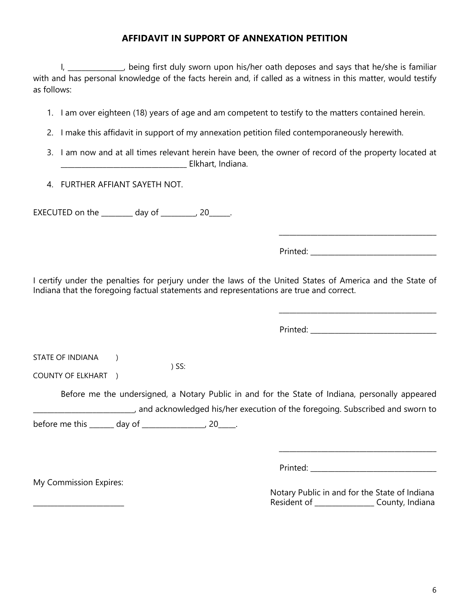#### **AFFIDAVIT IN SUPPORT OF ANNEXATION PETITION**

I, and all the position of the is familiar in the poses and says that he/she is familiar with and has personal knowledge of the facts herein and, if called as a witness in this matter, would testify as follows:

- 1. I am over eighteen (18) years of age and am competent to testify to the matters contained herein.
- 2. I make this affidavit in support of my annexation petition filed contemporaneously herewith.
- 3. I am now and at all times relevant herein have been, the owner of record of the property located at \_\_\_\_\_\_\_\_\_\_\_\_\_\_\_\_\_\_\_\_\_\_\_\_\_\_\_\_\_\_\_\_\_\_\_\_ Elkhart, Indiana.
- 4. FURTHER AFFIANT SAYETH NOT.

EXECUTED on the  $\_\_\_\_\_$  day of  $\_\_\_\_\_$ , 20 $\_\_\_\_\.\$ 

Printed: \_\_\_\_\_\_\_\_\_\_\_\_\_\_\_\_\_\_\_\_\_\_\_\_\_\_\_\_\_\_\_\_\_\_\_\_

\_\_\_\_\_\_\_\_\_\_\_\_\_\_\_\_\_\_\_\_\_\_\_\_\_\_\_\_\_\_\_\_\_\_\_\_\_\_\_\_\_\_\_\_\_

I certify under the penalties for perjury under the laws of the United States of America and the State of Indiana that the foregoing factual statements and representations are true and correct.

Printed:  $\blacksquare$ 

| STATE OF INDIANA |  |
|------------------|--|
|                  |  |

COUNTY OF ELKHART )

Before me the undersigned, a Notary Public in and for the State of Indiana, personally appeared \_\_\_\_\_\_\_\_\_\_\_\_\_\_\_\_\_\_\_\_\_\_\_\_\_\_\_\_\_, and acknowledged his/her execution of the foregoing. Subscribed and sworn to before me this  $\qquad \qquad$  day of  $\qquad \qquad$  , 20  $\qquad$ .

) SS:

My Commission Expires:

Printed:  $\blacksquare$ 

|  |             | Notary Public in and for the State of Indiana |  |
|--|-------------|-----------------------------------------------|--|
|  | Resident of | County, Indiana                               |  |